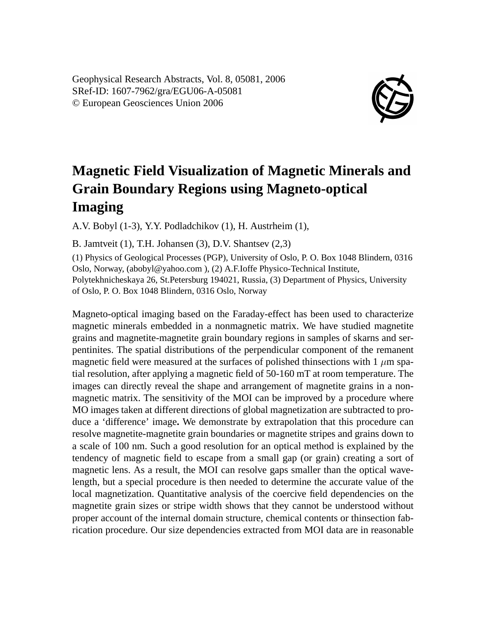Geophysical Research Abstracts, Vol. 8, 05081, 2006 SRef-ID: 1607-7962/gra/EGU06-A-05081 © European Geosciences Union 2006



## **Magnetic Field Visualization of Magnetic Minerals and Grain Boundary Regions using Magneto-optical Imaging**

A.V. Bobyl (1-3), Y.Y. Podladchikov (1), H. Austrheim (1),

B. Jamtveit (1), T.H. Johansen (3), D.V. Shantsev (2,3)

(1) Physics of Geological Processes (PGP), University of Oslo, P. O. Box 1048 Blindern, 0316 Oslo, Norway, (abobyl@yahoo.com ), (2) A.F.Ioffe Physico-Technical Institute, Polytekhnicheskaya 26, St.Petersburg 194021, Russia, (3) Department of Physics, University of Oslo, P. O. Box 1048 Blindern, 0316 Oslo, Norway

Magneto-optical imaging based on the Faraday-effect has been used to characterize magnetic minerals embedded in a nonmagnetic matrix. We have studied magnetite grains and magnetite-magnetite grain boundary regions in samples of skarns and serpentinites. The spatial distributions of the perpendicular component of the remanent magnetic field were measured at the surfaces of polished thinsections with 1  $\mu$ m spatial resolution, after applying a magnetic field of 50-160 mT at room temperature. The images can directly reveal the shape and arrangement of magnetite grains in a nonmagnetic matrix. The sensitivity of the MOI can be improved by a procedure where MO images taken at different directions of global magnetization are subtracted to produce a 'difference' image**.** We demonstrate by extrapolation that this procedure can resolve magnetite-magnetite grain boundaries or magnetite stripes and grains down to a scale of 100 nm. Such a good resolution for an optical method is explained by the tendency of magnetic field to escape from a small gap (or grain) creating a sort of magnetic lens. As a result, the MOI can resolve gaps smaller than the optical wavelength, but a special procedure is then needed to determine the accurate value of the local magnetization. Quantitative analysis of the coercive field dependencies on the magnetite grain sizes or stripe width shows that they cannot be understood without proper account of the internal domain structure, chemical contents or thinsection fabrication procedure. Our size dependencies extracted from MOI data are in reasonable